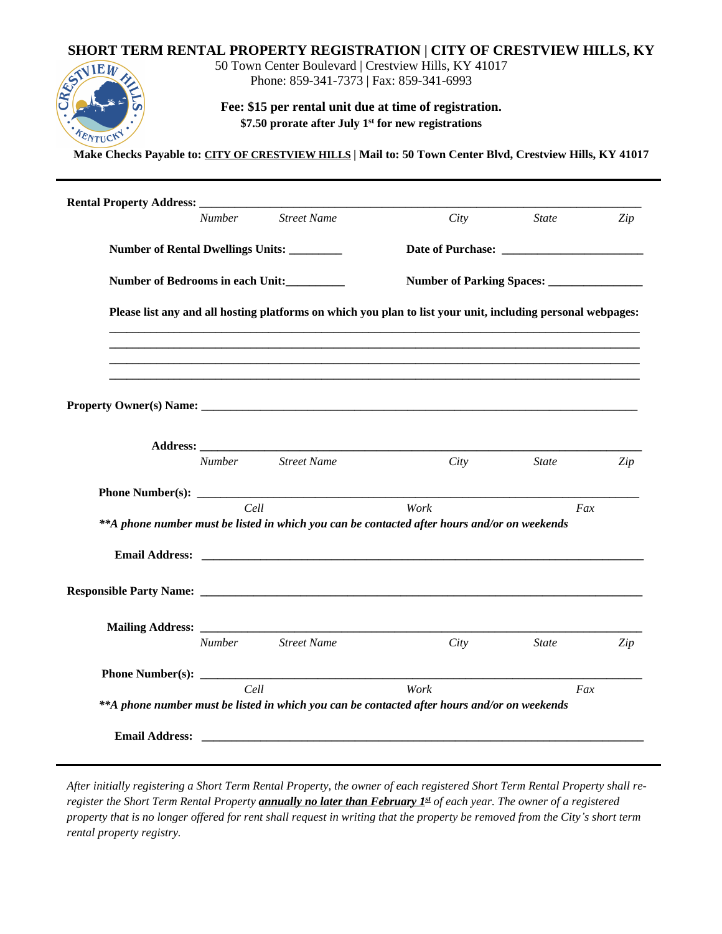## **SHORT TERM RENTAL PROPERTY REGISTRATION | CITY OF CRESTVIEW HILLS, KY**



50 Town Center Boulevard | Crestview Hills, KY 41017 Phone: 859-341-7373 | Fax: 859-341-6993

**Fee: \$15 per rental unit due at time of registration. \$7.50 prorate after July 1st for new registrations**

**Make Checks Payable to: CITY OF CRESTVIEW HILLS | Mail to: 50 Town Center Blvd, Crestview Hills, KY 41017**

| City                                                                                         | <i>State</i>                                                                                                | Zip |  |  |
|----------------------------------------------------------------------------------------------|-------------------------------------------------------------------------------------------------------------|-----|--|--|
|                                                                                              |                                                                                                             |     |  |  |
|                                                                                              |                                                                                                             |     |  |  |
| Number of Parking Spaces: _________________                                                  |                                                                                                             |     |  |  |
|                                                                                              | Please list any and all hosting platforms on which you plan to list your unit, including personal webpages: |     |  |  |
|                                                                                              |                                                                                                             |     |  |  |
|                                                                                              |                                                                                                             |     |  |  |
| City                                                                                         | <b>State</b>                                                                                                | Zip |  |  |
|                                                                                              |                                                                                                             |     |  |  |
| Work                                                                                         |                                                                                                             |     |  |  |
|                                                                                              | Fax                                                                                                         |     |  |  |
| **A phone number must be listed in which you can be contacted after hours and/or on weekends |                                                                                                             |     |  |  |
|                                                                                              |                                                                                                             |     |  |  |
|                                                                                              |                                                                                                             |     |  |  |
|                                                                                              |                                                                                                             |     |  |  |
| City                                                                                         | <b>State</b>                                                                                                | Zip |  |  |
|                                                                                              |                                                                                                             |     |  |  |
|                                                                                              |                                                                                                             |     |  |  |

*After initially registering a Short Term Rental Property, the owner of each registered Short Term Rental Property shall reregister the Short Term Rental Property annually no later than February 1st of each year. The owner of a registered property that is no longer offered for rent shall request in writing that the property be removed from the City's short term rental property registry.*